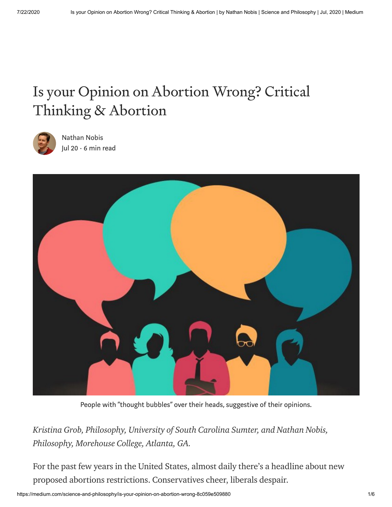# Is your Opinion on Abortion Wrong? Critical Thinking & Abortion



[Nathan](https://medium.com/@nathannobis?source=post_page-----8c059e509880----------------------) Nobis [Jul](https://medium.com/science-and-philosophy/is-your-opinion-on-abortion-wrong-8c059e509880?source=post_page-----8c059e509880----------------------) 20 · 6 min read



People with "thought bubbles" over their heads, suggestive of their opinions.

*[Kristina](https://sites.google.com/view/kristinagrob) Grob, Philosophy, University of South Carolina Sumter, and [Nathan](https://www.nathannobis.com/) Nobis, Philosophy, Morehouse College, Atlanta, GA.*

For the past few years in the United States, almost daily there's a headline about new proposed abortions restrictions. Conservatives cheer, liberals despair.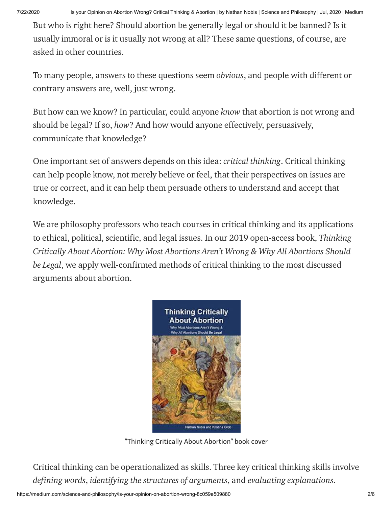7/22/2020 Is your Opinion on Abortion Wrong? Critical Thinking & Abortion | by Nathan Nobis | Science and Philosophy | Jul, 2020 | Medium

But who is right here? Should abortion be generally legal or should it be banned? Is it usually immoral or is it usually not wrong at all? These same questions, of course, are asked in other countries.

To many people, answers to these questions seem *obvious*, and people with different or contrary answers are, well, just wrong.

But how can we know? In particular, could anyone *know* that abortion is not wrong and should be legal? If so, *how*? And how would anyone effectively, persuasively, communicate that knowledge?

One important set of answers depends on this idea: *critical thinking*. Critical thinking can help people know, not merely believe or feel, that their perspectives on issues are true or correct, and it can help them persuade others to understand and accept that knowledge.

We are philosophy professors who teach courses in critical thinking and its applications to ethical, political, scientific, and legal issues. In our 2019 open-access book, *Thinking Critically About Abortion: Why Most Abortions Aren't Wrong & Why All Abortions Should be Legal*, we apply [well-confirmed](http://www.abortionarguments.com/) methods of critical thinking to the most discussed arguments about abortion.



"Thinking Critically About Abortion" book cover

Critical [thinking](https://plato.stanford.edu/entries/critical-thinking/) can be operationalized as skills. Three key critical thinking skills involve *defining words*, *identifying the structures of arguments*, and *evaluating explanations*.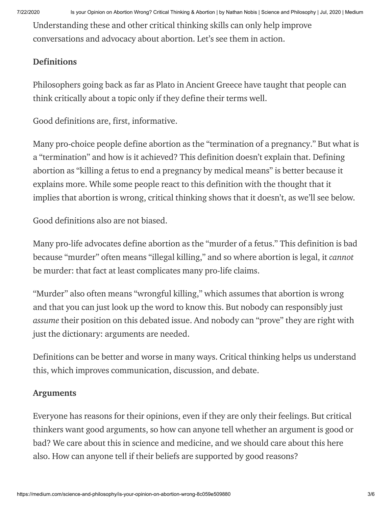Understanding these and other critical thinking skills can only help improve conversations and advocacy about abortion. Let's see them in action.

## Definitions

Philosophers going back as far as Plato in Ancient Greece have taught that people can think critically about a topic only if they [define](https://plato.stanford.edu/entries/definitions/) their terms well.

Good definitions are, first, informative.

Many pro-choice people define abortion as the "[termination](https://www.health.harvard.edu/medical-tests-and-procedures/abortion-termination-of-pregnancy-a-to-z) of a pregnancy." But what is a "termination" and how is it achieved? This definition doesn't explain that. Defining abortion as "killing a fetus to end a pregnancy by medical means" is better because it explains more. While some people react to this definition with the thought that it implies that abortion is wrong, critical thinking shows that it doesn't, as we'll see below.

Good definitions also are not biased.

Many pro-life advocates define abortion as the "murder of a fetus." This definition is bad because "murder" often means "illegal killing," and so where abortion is legal, it *cannot* be murder: that fact at least complicates many pro-life claims.

"Murder" also often means "wrongful killing," which assumes that abortion is wrong and that you can just look up the word to know this. But nobody can responsibly just *assume* their position on this debated issue. And nobody can "prove" they are right with just the dictionary: arguments are needed.

Definitions can be better and worse in many ways. Critical thinking helps us understand this, which improves communication, discussion, and debate.

#### Arguments

Everyone has reasons for their opinions, even if they are only their feelings. But critical thinkers want good arguments, so how can anyone tell whether an argument is good or bad? We care about this in science and medicine, and we should care about this here also. How can anyone tell if their beliefs are supported by good reasons?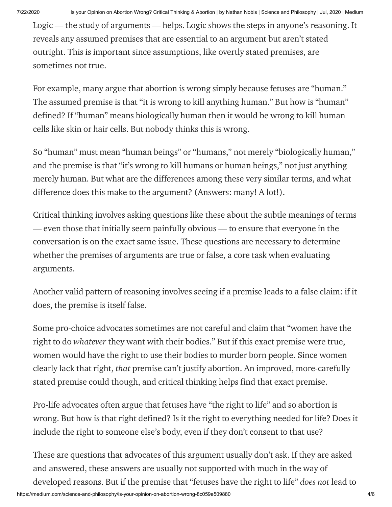[Logic](https://plato.stanford.edu/entries/logic-informal/) — the study of arguments — helps. Logic shows the steps in anyone's reasoning. It reveals any assumed premises that are essential to an argument but aren't stated outright. This is important since assumptions, like overtly stated premises, are sometimes not true.

For example, many argue that abortion is wrong simply because fetuses are "human." The assumed premise is that "it is wrong to kill anything human." But how is "human" defined? If "human" means [biologically](https://biologydictionary.net/human-biology/) human then it would be wrong to kill human cells like skin or hair cells. But nobody thinks this is wrong.

So "human" must mean "human beings" or "humans," not merely "biologically human," and the premise is that "it's wrong to kill humans or human beings," not just anything merely human. But what are the differences among these very similar terms, and what difference does this make to the argument? (Answers: many! A lot!).

Critical thinking involves asking questions like these about the subtle meanings of terms — even those that initially seem painfully obvious — to ensure that everyone in the conversation is on the exact same issue. These questions are necessary to determine whether the premises of arguments are true or false, a core task when evaluating arguments.

Another valid pattern of reasoning involves seeing if a [premise](http://www.philosophy-index.com/logic/forms/modus-tollens.php) leads to a false claim: if it does, the premise is itself false.

Some pro-choice advocates sometimes are not careful and claim that "women have the right to do *whatever* they want with their bodies." But if this exact premise were true, women would have the right to use their bodies to murder born people. Since women clearly lack that right, *that* premise can't justify abortion. An improved, more-carefully stated premise could though, and critical thinking helps find that exact premise.

Pro-life advocates often argue that fetuses have "the right to life" and so abortion is wrong. But how is that right [defined?](https://www.jstor.org/stable/2265091) Is it the right to everything needed for life? Does it include the right to someone else's body, even if they don't consent to that use?

These are questions that advocates of this argument usually don't ask. If they are asked and answered, these answers are usually not supported with much in the way of developed reasons. But if the premise that "fetuses have the right to life" *does not* lead to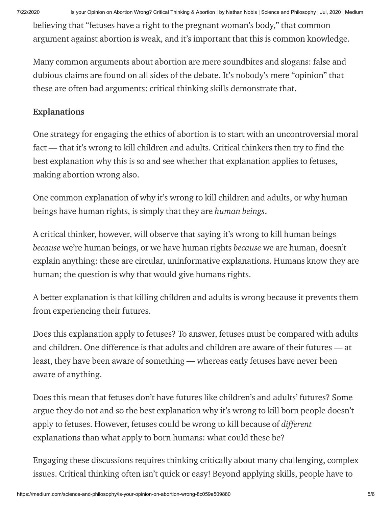7/22/2020 Is your Opinion on Abortion Wrong? Critical Thinking & Abortion | by Nathan Nobis | Science and Philosophy | Jul, 2020 | Medium

believing that "fetuses have a right to the pregnant woman's body," that common argument against abortion is weak, and it's important that this is common knowledge.

Many common arguments about abortion are mere [soundbites](https://areomagazine.com/2019/07/23/abortion-and-soundbites-why-pro-choice-arguments-are-harder-to-make/) and slogans: false and dubious claims are found on all sides of the debate. It's nobody's mere "[opinion](https://theconversation.com/no-youre-not-entitled-to-your-opinion-9978)" that these are often bad arguments: critical thinking skills demonstrate that.

# Explanations

One strategy for engaging the ethics of abortion is to start with an uncontroversial moral fact — that it's wrong to kill children and adults. Critical thinkers then try to find the best explanation why this is so and see whether that explanation applies to fetuses, making abortion wrong also.

One common explanation of why it's wrong to kill children and adults, or why human beings have human rights, is simply that they are *human beings*.

A critical thinker, however, will observe that saying it's wrong to kill human beings *because* we're human beings, or we have human rights *because* we are human, doesn't explain anything: these are circular, uninformative explanations. Humans know they are human; the question is why that would give humans rights.

A better explanation is that killing children and adults is wrong because it prevents them from [experiencing](https://www.jstor.org/stable/2026961) their futures.

Does this explanation apply to fetuses? To answer, fetuses must be compared with adults and children. One difference is that adults and children are aware of their futures — at least, they have been aware of something — whereas early fetuses have never been aware of anything.

Does this mean that fetuses don't have futures like children's and adults' futures? Some argue they do not and so the best explanation why it's wrong to kill born people doesn't apply to fetuses. However, fetuses could be wrong to kill because of *different* explanations than what apply to born humans: what could these be?

Engaging these discussions requires thinking critically about many challenging, complex issues. Critical thinking often isn't quick or easy! Beyond applying skills, people have to